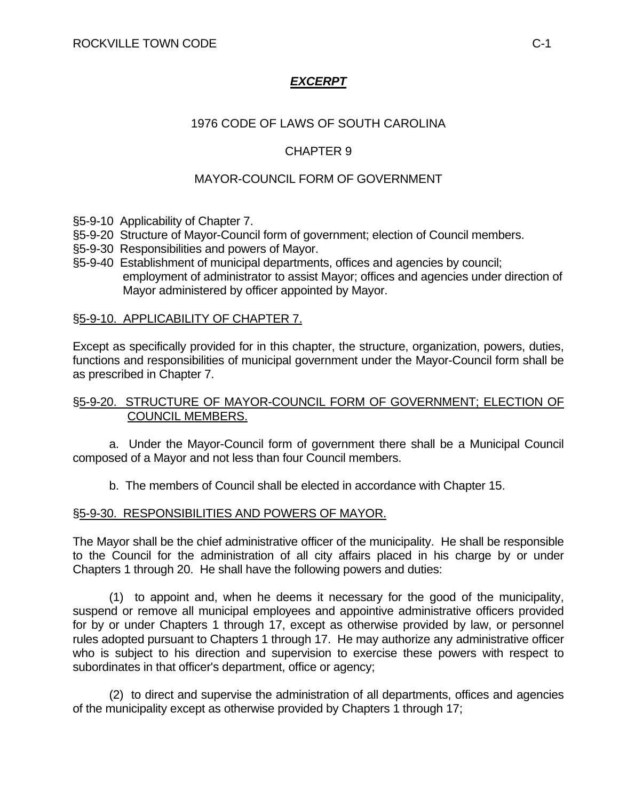# *EXCERPT*

## 1976 CODE OF LAWS OF SOUTH CAROLINA

## CHAPTER 9

## MAYOR-COUNCIL FORM OF GOVERNMENT

- §5-9-10 Applicability of Chapter 7.
- §5-9-20 Structure of Mayor-Council form of government; election of Council members.
- §5-9-30 Responsibilities and powers of Mayor.
- §5-9-40 Establishment of municipal departments, offices and agencies by council; employment of administrator to assist Mayor; offices and agencies under direction of Mayor administered by officer appointed by Mayor.

#### §5-9-10. APPLICABILITY OF CHAPTER 7.

Except as specifically provided for in this chapter, the structure, organization, powers, duties, functions and responsibilities of municipal government under the Mayor-Council form shall be as prescribed in Chapter 7.

### §5-9-20. STRUCTURE OF MAYOR-COUNCIL FORM OF GOVERNMENT; ELECTION OF COUNCIL MEMBERS.

 a. Under the Mayor-Council form of government there shall be a Municipal Council composed of a Mayor and not less than four Council members.

b. The members of Council shall be elected in accordance with Chapter 15.

#### §5-9-30. RESPONSIBILITIES AND POWERS OF MAYOR.

The Mayor shall be the chief administrative officer of the municipality. He shall be responsible to the Council for the administration of all city affairs placed in his charge by or under Chapters 1 through 20. He shall have the following powers and duties:

 (1) to appoint and, when he deems it necessary for the good of the municipality, suspend or remove all municipal employees and appointive administrative officers provided for by or under Chapters 1 through 17, except as otherwise provided by law, or personnel rules adopted pursuant to Chapters 1 through 17. He may authorize any administrative officer who is subject to his direction and supervision to exercise these powers with respect to subordinates in that officer's department, office or agency;

 (2) to direct and supervise the administration of all departments, offices and agencies of the municipality except as otherwise provided by Chapters 1 through 17;